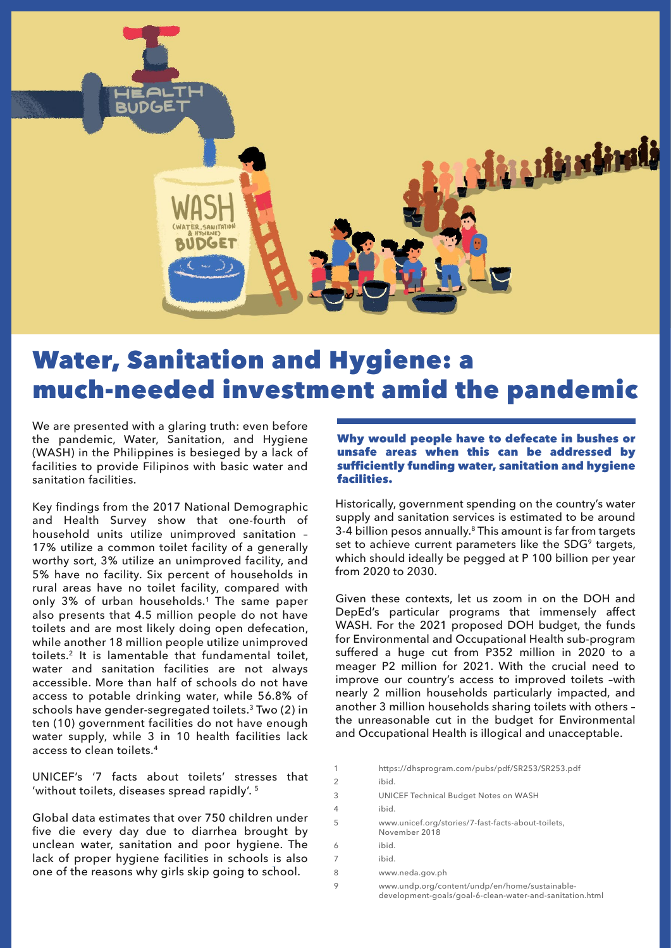

# Water, Sanitation and Hygiene: a much-needed investment amid the pandemic

We are presented with a glaring truth: even before the pandemic, Water, Sanitation, and Hygiene (WASH) in the Philippines is besieged by a lack of facilities to provide Filipinos with basic water and sanitation facilities.

Key findings from the 2017 National Demographic and Health Survey show that one-fourth of household units utilize unimproved sanitation – 17% utilize a common toilet facility of a generally worthy sort, 3% utilize an unimproved facility, and 5% have no facility. Six percent of households in rural areas have no toilet facility, compared with only 3% of urban households.<sup>1</sup> The same paper also presents that 4.5 million people do not have toilets and are most likely doing open defecation, while another 18 million people utilize unimproved toilets.2 It is lamentable that fundamental toilet, water and sanitation facilities are not always accessible. More than half of schools do not have access to potable drinking water, while 56.8% of schools have gender-segregated toilets.<sup>3</sup> Two (2) in ten (10) government facilities do not have enough water supply, while 3 in 10 health facilities lack access to clean toilets.<sup>4</sup>

UNICEF's '7 facts about toilets' stresses that 'without toilets, diseases spread rapidly'. 5

Global data estimates that over 750 children under five die every day due to diarrhea brought by unclean water, sanitation and poor hygiene. The lack of proper hygiene facilities in schools is also one of the reasons why girls skip going to school.

# Why would people have to defecate in bushes or unsafe areas when this can be addressed by sufficiently funding water, sanitation and hygiene facilities.

Historically, government spending on the country's water supply and sanitation services is estimated to be around 3-4 billion pesos annually.<sup>8</sup> This amount is far from targets set to achieve current parameters like the SDG<sup>9</sup> targets, which should ideally be pegged at P 100 billion per year from 2020 to 2030.

Given these contexts, let us zoom in on the DOH and DepEd's particular programs that immensely affect WASH. For the 2021 proposed DOH budget, the funds for Environmental and Occupational Health sub-program suffered a huge cut from P352 million in 2020 to a meager P2 million for 2021. With the crucial need to improve our country's access to improved toilets –with nearly 2 million households particularly impacted, and another 3 million households sharing toilets with others – the unreasonable cut in the budget for Environmental and Occupational Health is illogical and unacceptable.

1 https://dhsprogram.com/pubs/pdf/SR253/SR253.pdf 2 ibid. 3 UNICEF Technical Budget Notes on WASH 4 ibid. 5 www.unicef.org/stories/7-fast-facts-about-toilets, November 2018 6 ibid. 7 ibid. 8 www.neda.gov.ph 9 www.undp.org/content/undp/en/home/sustainable development-goals/goal-6-clean-water-and-sanitation.html